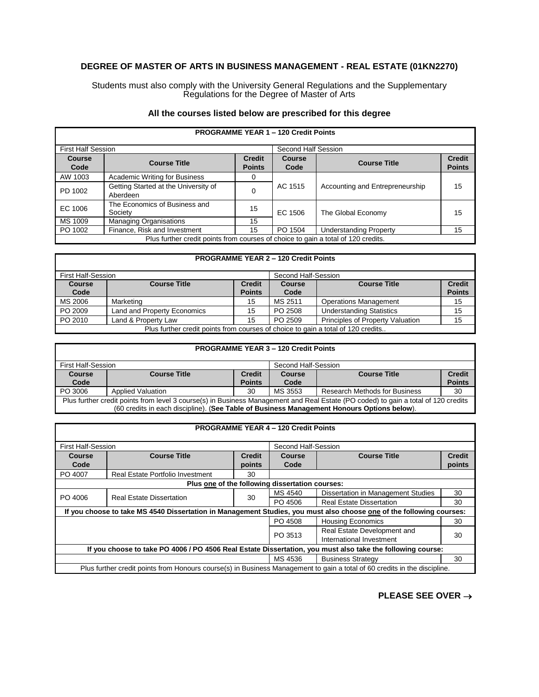## **DEGREE OF MASTER OF ARTS IN BUSINESS MANAGEMENT - REAL ESTATE (01KN2270)**

Students must also comply with the University General Regulations and the Supplementary Regulations for the Degree of Master of Arts

|  | All the courses listed below are prescribed for this degree |  |  |  |  |
|--|-------------------------------------------------------------|--|--|--|--|
|--|-------------------------------------------------------------|--|--|--|--|

| <b>PROGRAMME YEAR 1 - 120 Credit Points</b>                                       |                                                  |                                |                |                                 |                                |
|-----------------------------------------------------------------------------------|--------------------------------------------------|--------------------------------|----------------|---------------------------------|--------------------------------|
| <b>First Half Session</b>                                                         |                                                  | Second Half Session            |                |                                 |                                |
| <b>Course</b><br>Code                                                             | <b>Course Title</b>                              | <b>Credit</b><br><b>Points</b> | Course<br>Code | <b>Course Title</b>             | <b>Credit</b><br><b>Points</b> |
| AW 1003                                                                           | <b>Academic Writing for Business</b>             | 0                              |                |                                 |                                |
| PD 1002                                                                           | Getting Started at the University of<br>Aberdeen | 0                              | AC 1515        | Accounting and Entrepreneurship | 15                             |
| EC 1006                                                                           | The Economics of Business and<br>Society         | 15                             | EC 1506        | The Global Economy              | 15                             |
| MS 1009                                                                           | <b>Managing Organisations</b>                    | 15                             |                |                                 |                                |
| PO 1002                                                                           | Finance, Risk and Investment                     | 15                             | PO 1504        | <b>Understanding Property</b>   | 15                             |
| Plus further credit points from courses of choice to gain a total of 120 credits. |                                                  |                                |                |                                 |                                |

## **PROGRAMME YEAR 2 – 120 Credit Points** First Half-Session Second Half-Session<br> **Course Course Title Course Course Second Half-Session Course Code Course Title Points Course Code Course Title Credit Points** MS 2006 | Marketing 15 | MS 2511 | Operations Management | 15 | MS 2511 | Operations Management | 15 PO 2009 Land and Property Economics 15 PO 2508 Understanding Statistics 15<br>PO 2010 Land & Property Law 15 PO 2509 Principles of Property Valuation 15 PO 2010 Land & Property Law 15 PO 2509 Principles of Property Valuation 15 Plus further credit points from courses of choice to gain a total of 120 credits.

| <b>PROGRAMME YEAR 3 - 120 Credit Points</b>                                                                                        |                     |               |        |                     |               |
|------------------------------------------------------------------------------------------------------------------------------------|---------------------|---------------|--------|---------------------|---------------|
| <b>First Half-Session</b><br>Second Half-Session                                                                                   |                     |               |        |                     |               |
| <b>Course</b>                                                                                                                      | <b>Course Title</b> | <b>Credit</b> | Course | <b>Course Title</b> | <b>Credit</b> |
| Code                                                                                                                               |                     | <b>Points</b> | Code   |                     | <b>Points</b> |
| PO 3006<br><b>Applied Valuation</b><br>30<br>MS 3553<br>Research Methods for Business<br>30                                        |                     |               |        |                     |               |
| Plus further credit points from level 3 course(s) in Business Management and Real Estate (PO coded) to gain a total of 120 credits |                     |               |        |                     |               |
| (60 credits in each discipline). (See Table of Business Management Honours Options below).                                         |                     |               |        |                     |               |

| <b>First Half-Session</b>                                                                                                 |                                      | Second Half-Session |         |                                    |               |  |
|---------------------------------------------------------------------------------------------------------------------------|--------------------------------------|---------------------|---------|------------------------------------|---------------|--|
| <b>Course</b>                                                                                                             | <b>Course Title</b><br><b>Credit</b> |                     | Course  | <b>Course Title</b>                | <b>Credit</b> |  |
| Code                                                                                                                      |                                      | points              | Code    |                                    | points        |  |
| PO 4007                                                                                                                   | Real Estate Portfolio Investment     | 30                  |         |                                    |               |  |
| Plus one of the following dissertation courses:                                                                           |                                      |                     |         |                                    |               |  |
|                                                                                                                           |                                      |                     | MS 4540 | Dissertation in Management Studies | 30            |  |
| PO 4006<br><b>Real Estate Dissertation</b>                                                                                |                                      | 30                  | PO 4506 | <b>Real Estate Dissertation</b>    | 30            |  |
| If you choose to take MS 4540 Dissertation in Management Studies, you must also choose one of the following courses:      |                                      |                     |         |                                    |               |  |
| PO 4508<br><b>Housing Economics</b><br>30                                                                                 |                                      |                     |         |                                    |               |  |
| Real Estate Development and<br>PO 3513                                                                                    |                                      |                     |         |                                    |               |  |
| 30<br>International Investment                                                                                            |                                      |                     |         |                                    |               |  |
| If you choose to take PO 4006 / PO 4506 Real Estate Dissertation, you must also take the following course:                |                                      |                     |         |                                    |               |  |
|                                                                                                                           |                                      |                     | MS 4536 | <b>Business Strategy</b>           | 30            |  |
| Plus further credit points from Honours course(s) in Business Management to gain a total of 60 credits in the discipline. |                                      |                     |         |                                    |               |  |

**PLEASE SEE OVER** →